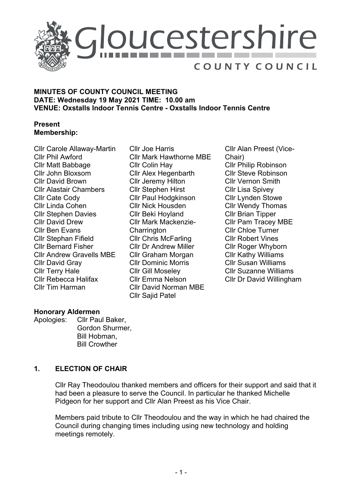

## **MINUTES OF COUNTY COUNCIL MEETING DATE: Wednesday 19 May 2021 TIME: 10.00 am VENUE: Oxstalls Indoor Tennis Centre - Oxstalls Indoor Tennis Centre**

## **Present Membership:**

Cllr Carole Allaway-Martin Cllr Phil Awford Cllr Matt Babbage Cllr John Bloxsom Cllr David Brown Cllr Alastair Chambers Cllr Cate Cody Cllr Linda Cohen Cllr Stephen Davies Cllr David Drew Cllr Ben Evans Cllr Stephan Fifield Cllr Bernard Fisher Cllr Andrew Gravells MBE Cllr David Gray Cllr Terry Hale Cllr Rebecca Halifax Cllr Tim Harman

Cllr Joe Harris Cllr Mark Hawthorne MBE Cllr Colin Hay Cllr Alex Hegenbarth Cllr Jeremy Hilton Cllr Stephen Hirst Cllr Paul Hodgkinson Cllr Nick Housden Cllr Beki Hoyland Cllr Mark Mackenzie-**Charrington** Cllr Chris McFarling Cllr Dr Andrew Miller Cllr Graham Morgan Cllr Dominic Morris Cllr Gill Moseley Cllr Emma Nelson Cllr David Norman MBE Cllr Sajid Patel

Cllr Alan Preest (Vice-Chair) Cllr Philip Robinson Cllr Steve Robinson Cllr Vernon Smith Cllr Lisa Spivey Cllr Lynden Stowe Cllr Wendy Thomas Cllr Brian Tipper Cllr Pam Tracey MBE Cllr Chloe Turner Cllr Robert Vines Cllr Roger Whyborn Cllr Kathy Williams Cllr Susan Williams Cllr Suzanne Williams Cllr Dr David Willingham

# **Honorary Aldermen**

Apologies: Cllr Paul Baker, Gordon Shurmer, Bill Hobman, Bill Crowther

# **1. ELECTION OF CHAIR**

Cllr Ray Theodoulou thanked members and officers for their support and said that it had been a pleasure to serve the Council. In particular he thanked Michelle Pidgeon for her support and Cllr Alan Preest as his Vice Chair.

Members paid tribute to Cllr Theodoulou and the way in which he had chaired the Council during changing times including using new technology and holding meetings remotely.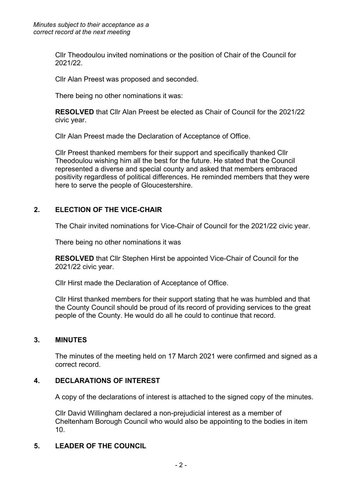Cllr Theodoulou invited nominations or the position of Chair of the Council for 2021/22.

Cllr Alan Preest was proposed and seconded.

There being no other nominations it was:

**RESOLVED** that Cllr Alan Preest be elected as Chair of Council for the 2021/22 civic year.

Cllr Alan Preest made the Declaration of Acceptance of Office.

Cllr Preest thanked members for their support and specifically thanked Cllr Theodoulou wishing him all the best for the future. He stated that the Council represented a diverse and special county and asked that members embraced positivity regardless of political differences. He reminded members that they were here to serve the people of Gloucestershire.

## **2. ELECTION OF THE VICE-CHAIR**

The Chair invited nominations for Vice-Chair of Council for the 2021/22 civic year.

There being no other nominations it was

**RESOLVED** that Cllr Stephen Hirst be appointed Vice-Chair of Council for the 2021/22 civic year.

Cllr Hirst made the Declaration of Acceptance of Office.

Cllr Hirst thanked members for their support stating that he was humbled and that the County Council should be proud of its record of providing services to the great people of the County. He would do all he could to continue that record.

## **3. MINUTES**

The minutes of the meeting held on 17 March 2021 were confirmed and signed as a correct record.

## **4. DECLARATIONS OF INTEREST**

A copy of the declarations of interest is attached to the signed copy of the minutes.

Cllr David Willingham declared a non-prejudicial interest as a member of Cheltenham Borough Council who would also be appointing to the bodies in item 10.

## **5. LEADER OF THE COUNCIL**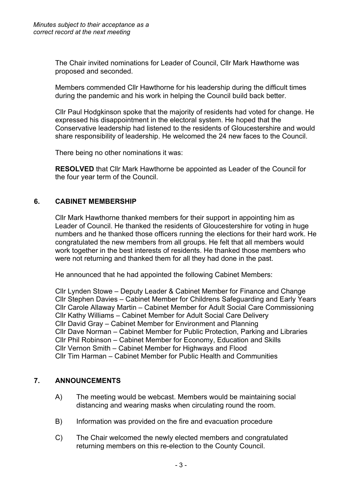The Chair invited nominations for Leader of Council, Cllr Mark Hawthorne was proposed and seconded.

Members commended Cllr Hawthorne for his leadership during the difficult times during the pandemic and his work in helping the Council build back better.

Cllr Paul Hodgkinson spoke that the majority of residents had voted for change. He expressed his disappointment in the electoral system. He hoped that the Conservative leadership had listened to the residents of Gloucestershire and would share responsibility of leadership. He welcomed the 24 new faces to the Council.

There being no other nominations it was:

**RESOLVED** that Cllr Mark Hawthorne be appointed as Leader of the Council for the four year term of the Council.

## **6. CABINET MEMBERSHIP**

Cllr Mark Hawthorne thanked members for their support in appointing him as Leader of Council. He thanked the residents of Gloucestershire for voting in huge numbers and he thanked those officers running the elections for their hard work. He congratulated the new members from all groups. He felt that all members would work together in the best interests of residents. He thanked those members who were not returning and thanked them for all they had done in the past.

He announced that he had appointed the following Cabinet Members:

Cllr Lynden Stowe – Deputy Leader & Cabinet Member for Finance and Change Cllr Stephen Davies – Cabinet Member for Childrens Safeguarding and Early Years Cllr Carole Allaway Martin – Cabinet Member for Adult Social Care Commissioning Cllr Kathy Williams – Cabinet Member for Adult Social Care Delivery Cllr David Gray – Cabinet Member for Environment and Planning Cllr Dave Norman – Cabinet Member for Public Protection, Parking and Libraries Cllr Phil Robinson – Cabinet Member for Economy, Education and Skills Cllr Vernon Smith – Cabinet Member for Highways and Flood Cllr Tim Harman – Cabinet Member for Public Health and Communities

## **7. ANNOUNCEMENTS**

- A) The meeting would be webcast. Members would be maintaining social distancing and wearing masks when circulating round the room.
- B) Information was provided on the fire and evacuation procedure
- C) The Chair welcomed the newly elected members and congratulated returning members on this re-election to the County Council.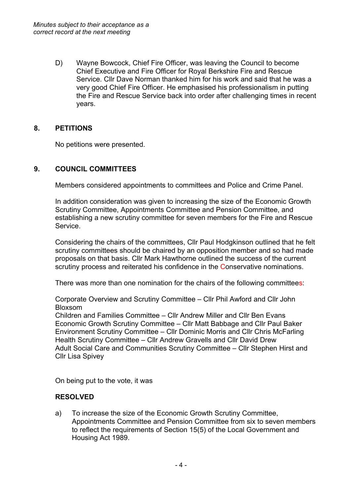D) Wayne Bowcock, Chief Fire Officer, was leaving the Council to become Chief Executive and Fire Officer for Royal Berkshire Fire and Rescue Service. Cllr Dave Norman thanked him for his work and said that he was a very good Chief Fire Officer. He emphasised his professionalism in putting the Fire and Rescue Service back into order after challenging times in recent years.

## **8. PETITIONS**

No petitions were presented.

## **9. COUNCIL COMMITTEES**

Members considered appointments to committees and Police and Crime Panel.

In addition consideration was given to increasing the size of the Economic Growth Scrutiny Committee, Appointments Committee and Pension Committee, and establishing a new scrutiny committee for seven members for the Fire and Rescue Service.

Considering the chairs of the committees, Cllr Paul Hodgkinson outlined that he felt scrutiny committees should be chaired by an opposition member and so had made proposals on that basis. Cllr Mark Hawthorne outlined the success of the current scrutiny process and reiterated his confidence in the Conservative nominations.

There was more than one nomination for the chairs of the following committees:

Corporate Overview and Scrutiny Committee – Cllr Phil Awford and Cllr John Bloxsom

Children and Families Committee – Cllr Andrew Miller and Cllr Ben Evans Economic Growth Scrutiny Committee – Cllr Matt Babbage and Cllr Paul Baker Environment Scrutiny Committee – Cllr Dominic Morris and Cllr Chris McFarling Health Scrutiny Committee – Cllr Andrew Gravells and Cllr David Drew Adult Social Care and Communities Scrutiny Committee – Cllr Stephen Hirst and Cllr Lisa Spivey

On being put to the vote, it was

#### **RESOLVED**

a) To increase the size of the Economic Growth Scrutiny Committee, Appointments Committee and Pension Committee from six to seven members to reflect the requirements of Section 15(5) of the Local Government and Housing Act 1989.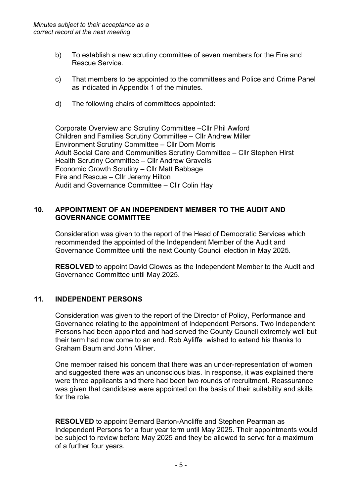- b) To establish a new scrutiny committee of seven members for the Fire and Rescue Service.
- c) That members to be appointed to the committees and Police and Crime Panel as indicated in Appendix 1 of the minutes.
- d) The following chairs of committees appointed:

Corporate Overview and Scrutiny Committee –Cllr Phil Awford Children and Families Scrutiny Committee – Cllr Andrew Miller Environment Scrutiny Committee – Cllr Dom Morris Adult Social Care and Communities Scrutiny Committee – Cllr Stephen Hirst Health Scrutiny Committee – Cllr Andrew Gravells Economic Growth Scrutiny – Cllr Matt Babbage Fire and Rescue – Cllr Jeremy Hilton Audit and Governance Committee – Cllr Colin Hay

## **10. APPOINTMENT OF AN INDEPENDENT MEMBER TO THE AUDIT AND GOVERNANCE COMMITTEE**

Consideration was given to the report of the Head of Democratic Services which recommended the appointed of the Independent Member of the Audit and Governance Committee until the next County Council election in May 2025.

**RESOLVED** to appoint David Clowes as the Independent Member to the Audit and Governance Committee until May 2025.

## **11. INDEPENDENT PERSONS**

Consideration was given to the report of the Director of Policy, Performance and Governance relating to the appointment of Independent Persons. Two Independent Persons had been appointed and had served the County Council extremely well but their term had now come to an end. Rob Ayliffe wished to extend his thanks to Graham Baum and John Milner.

One member raised his concern that there was an under-representation of women and suggested there was an unconscious bias. In response, it was explained there were three applicants and there had been two rounds of recruitment. Reassurance was given that candidates were appointed on the basis of their suitability and skills for the role.

**RESOLVED** to appoint Bernard Barton-Ancliffe and Stephen Pearman as Independent Persons for a four year term until May 2025. Their appointments would be subject to review before May 2025 and they be allowed to serve for a maximum of a further four years.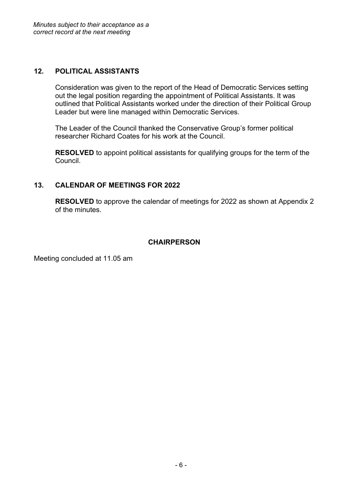## **12. POLITICAL ASSISTANTS**

Consideration was given to the report of the Head of Democratic Services setting out the legal position regarding the appointment of Political Assistants. It was outlined that Political Assistants worked under the direction of their Political Group Leader but were line managed within Democratic Services.

The Leader of the Council thanked the Conservative Group's former political researcher Richard Coates for his work at the Council.

**RESOLVED** to appoint political assistants for qualifying groups for the term of the Council.

## **13. CALENDAR OF MEETINGS FOR 2022**

**RESOLVED** to approve the calendar of meetings for 2022 as shown at Appendix 2 of the minutes.

## **CHAIRPERSON**

Meeting concluded at 11.05 am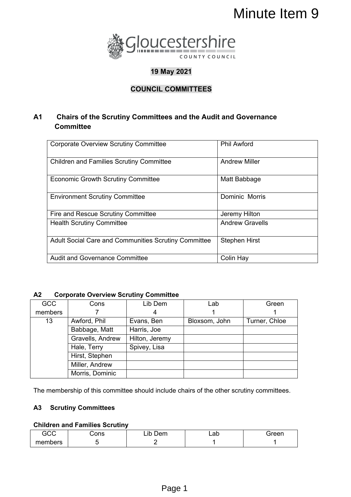

# **19 May 2021**

# **COUNCIL COMMITTEES**

## **A1 Chairs of the Scrutiny Committees and the Audit and Governance Committee**

|                                                            |                                                                                                                                                          |                           |               |                      | Minute Item 9  |  |  |
|------------------------------------------------------------|----------------------------------------------------------------------------------------------------------------------------------------------------------|---------------------------|---------------|----------------------|----------------|--|--|
|                                                            | Gloucestershire                                                                                                                                          |                           |               |                      |                |  |  |
|                                                            | COUNTY COUNCIL<br>19 May 2021                                                                                                                            |                           |               |                      |                |  |  |
|                                                            |                                                                                                                                                          |                           |               |                      |                |  |  |
|                                                            |                                                                                                                                                          | <b>COUNCIL COMMITTEES</b> |               |                      |                |  |  |
|                                                            | <b>Chairs of the Scrutiny Committees and the Audit and Governance</b><br><b>Committee</b>                                                                |                           |               |                      |                |  |  |
|                                                            | <b>Phil Awford</b><br><b>Corporate Overview Scrutiny Committee</b>                                                                                       |                           |               |                      |                |  |  |
|                                                            | <b>Children and Families Scrutiny Committee</b>                                                                                                          |                           |               | <b>Andrew Miller</b> |                |  |  |
|                                                            | <b>Economic Growth Scrutiny Committee</b>                                                                                                                |                           |               | Matt Babbage         |                |  |  |
|                                                            | <b>Environment Scrutiny Committee</b>                                                                                                                    |                           |               |                      | Dominic Morris |  |  |
|                                                            | Fire and Rescue Scrutiny Committee                                                                                                                       |                           |               | Jeremy Hilton        |                |  |  |
| <b>Andrew Gravells</b><br><b>Health Scrutiny Committee</b> |                                                                                                                                                          |                           |               |                      |                |  |  |
|                                                            | Adult Social Care and Communities Scrutiny Committee                                                                                                     |                           |               | <b>Stephen Hirst</b> |                |  |  |
|                                                            | <b>Audit and Governance Committee</b>                                                                                                                    |                           |               | Colin Hay            |                |  |  |
| <b>CC</b>                                                  | <b>Corporate Overview Scrutiny Committee</b><br>Cons                                                                                                     | Lib Dem                   | Lab           |                      | Green          |  |  |
| nbers                                                      | 7                                                                                                                                                        | 4                         | 1             |                      | 1              |  |  |
| 13                                                         | Awford, Phil                                                                                                                                             | Evans, Ben                | Bloxsom, John |                      | Turner, Chloe  |  |  |
|                                                            | Babbage, Matt                                                                                                                                            | Harris, Joe               |               |                      |                |  |  |
|                                                            | Gravells, Andrew                                                                                                                                         | Hilton, Jeremy            |               |                      |                |  |  |
|                                                            | Hale, Terry<br>Hirst, Stephen                                                                                                                            | Spivey, Lisa              |               |                      |                |  |  |
|                                                            | Miller, Andrew                                                                                                                                           |                           |               |                      |                |  |  |
|                                                            | Morris, Dominic                                                                                                                                          |                           |               |                      |                |  |  |
| iCC                                                        | membership of this committee should include chairs of the other scrutiny committees.<br><b>Scrutiny Committees</b><br>dren and Families Scrutiny<br>Cons | Lib Dem                   | Lab           |                      | Green          |  |  |
| nbers                                                      | 5                                                                                                                                                        | $\overline{2}$            | 1             |                      | 1              |  |  |
|                                                            |                                                                                                                                                          | Page 1                    |               |                      |                |  |  |

#### **A2 Corporate Overview Scrutiny Committee**

| <b>GCC</b> | Cons             | Lib Dem        | Lab           | Green         |
|------------|------------------|----------------|---------------|---------------|
| members    |                  | 4              |               |               |
| 13         | Awford, Phil     | Evans, Ben     | Bloxsom, John | Turner, Chloe |
|            | Babbage, Matt    | Harris, Joe    |               |               |
|            | Gravells, Andrew | Hilton, Jeremy |               |               |
|            | Hale, Terry      | Spivey, Lisa   |               |               |
|            | Hirst, Stephen   |                |               |               |
|            | Miller, Andrew   |                |               |               |
|            | Morris, Dominic  |                |               |               |

The membership of this committee should include chairs of the other scrutiny committees.

#### **A3 Scrutiny Committees**

## **Children and Families Scrutiny**

| GCC     | Cons | Lib<br>$\sim$<br>Jem | ∟ab | Green |
|---------|------|----------------------|-----|-------|
| members |      |                      |     |       |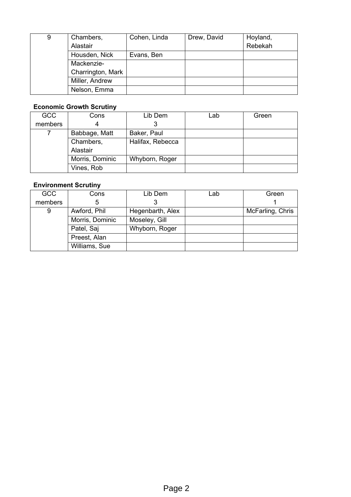| 9 | Chambers,         | Cohen, Linda | Drew, David | Hoyland, |
|---|-------------------|--------------|-------------|----------|
|   | Alastair          |              |             | Rebekah  |
|   | Housden, Nick     | Evans, Ben   |             |          |
|   | Mackenzie-        |              |             |          |
|   | Charrington, Mark |              |             |          |
|   | Miller, Andrew    |              |             |          |
|   | Nelson, Emma      |              |             |          |

## **Economic Growth Scrutiny**

| <b>GCC</b> | Cons            | Lib Dem          | Lab | Green |
|------------|-----------------|------------------|-----|-------|
| members    |                 |                  |     |       |
|            | Babbage, Matt   | Baker, Paul      |     |       |
|            | Chambers,       | Halifax, Rebecca |     |       |
|            | Alastair        |                  |     |       |
|            | Morris, Dominic | Whyborn, Roger   |     |       |
|            | Vines, Rob      |                  |     |       |

## **Environment Scrutiny**

| <b>GCC</b> | Cons            | Lib Dem          | Lab | Green            |
|------------|-----------------|------------------|-----|------------------|
| members    | 5               |                  |     |                  |
| 9          | Awford, Phil    | Hegenbarth, Alex |     | McFarling, Chris |
|            | Morris, Dominic | Moseley, Gill    |     |                  |
|            | Patel, Saj      | Whyborn, Roger   |     |                  |
|            | Preest, Alan    |                  |     |                  |
|            | Williams, Sue   |                  |     |                  |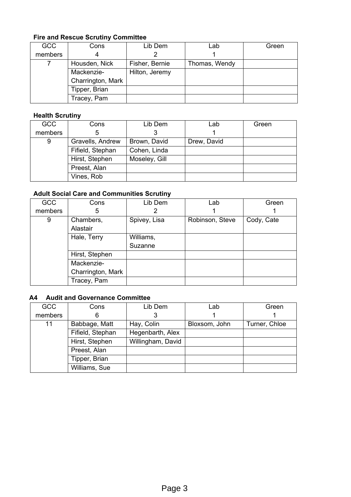#### **Fire and Rescue Scrutiny Committee**

| <b>GCC</b> | Cons              | Lib Dem        | Lab           | Green |
|------------|-------------------|----------------|---------------|-------|
| members    | 4                 |                |               |       |
|            | Housden, Nick     | Fisher, Bernie | Thomas, Wendy |       |
|            | Mackenzie-        | Hilton, Jeremy |               |       |
|            | Charrington, Mark |                |               |       |
|            | Tipper, Brian     |                |               |       |
|            | Tracey, Pam       |                |               |       |

### **Health Scrutiny**

| <b>GCC</b> | Cons             | Lib Dem       | Lab         | Green |
|------------|------------------|---------------|-------------|-------|
| members    | 5                |               |             |       |
| 9          | Gravells, Andrew | Brown, David  | Drew, David |       |
|            | Fifield, Stephan | Cohen, Linda  |             |       |
|            | Hirst, Stephen   | Moseley, Gill |             |       |
|            | Preest, Alan     |               |             |       |
|            | Vines, Rob       |               |             |       |

## **Adult Social Care and Communities Scrutiny**

| <b>GCC</b> | Cons              | Lib Dem      | Lab             | Green      |
|------------|-------------------|--------------|-----------------|------------|
| members    | 5                 |              |                 |            |
| 9          | Chambers,         | Spivey, Lisa | Robinson, Steve | Cody, Cate |
|            | Alastair          |              |                 |            |
|            | Hale, Terry       | Williams,    |                 |            |
|            |                   | Suzanne      |                 |            |
|            | Hirst, Stephen    |              |                 |            |
|            | Mackenzie-        |              |                 |            |
|            | Charrington, Mark |              |                 |            |
|            | Tracey, Pam       |              |                 |            |

## **A4 Audit and Governance Committee**

| <b>GCC</b> | Cons             | Lib Dem           | Lab           | Green         |
|------------|------------------|-------------------|---------------|---------------|
| members    | 6                |                   |               |               |
| 11         | Babbage, Matt    | Hay, Colin        | Bloxsom, John | Turner, Chloe |
|            | Fifield, Stephan | Hegenbarth, Alex  |               |               |
|            | Hirst, Stephen   | Willingham, David |               |               |
|            | Preest, Alan     |                   |               |               |
|            | Tipper, Brian    |                   |               |               |
|            | Williams, Sue    |                   |               |               |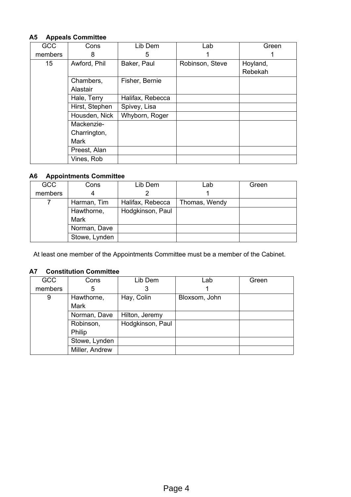#### **A5 Appeals Committee**

| GCC              | Cons           | Lib Dem          | Lab             | Green    |
|------------------|----------------|------------------|-----------------|----------|
| members          | 8              | 5                |                 |          |
| 15 <sub>15</sub> | Awford, Phil   | Baker, Paul      | Robinson, Steve | Hoyland, |
|                  |                |                  |                 | Rebekah  |
|                  | Chambers,      | Fisher, Bernie   |                 |          |
|                  | Alastair       |                  |                 |          |
|                  | Hale, Terry    | Halifax, Rebecca |                 |          |
|                  | Hirst, Stephen | Spivey, Lisa     |                 |          |
|                  | Housden, Nick  | Whyborn, Roger   |                 |          |
|                  | Mackenzie-     |                  |                 |          |
|                  | Charrington,   |                  |                 |          |
|                  | Mark           |                  |                 |          |
|                  | Preest, Alan   |                  |                 |          |
|                  | Vines, Rob     |                  |                 |          |

#### **A6 Appointments Committee**

| <b>GCC</b> | Cons          | Lib Dem          | Lab           | Green |
|------------|---------------|------------------|---------------|-------|
| members    | 4             |                  |               |       |
|            | Harman, Tim   | Halifax, Rebecca | Thomas, Wendy |       |
|            | Hawthorne,    | Hodgkinson, Paul |               |       |
|            | <b>Mark</b>   |                  |               |       |
|            | Norman, Dave  |                  |               |       |
|            | Stowe, Lynden |                  |               |       |

At least one member of the Appointments Committee must be a member of the Cabinet.

#### **A7 Constitution Committee**

| <b>GCC</b>                                | Cons        | Lib Dem          | Lab           | Green |
|-------------------------------------------|-------------|------------------|---------------|-------|
| members                                   | 5           | 3                |               |       |
| 9                                         | Hawthorne,  | Hay, Colin       | Bloxsom, John |       |
|                                           | <b>Mark</b> |                  |               |       |
| Norman, Dave                              |             | Hilton, Jeremy   |               |       |
| Robinson,                                 |             | Hodgkinson, Paul |               |       |
| Philip<br>Stowe, Lynden<br>Miller, Andrew |             |                  |               |       |
|                                           |             |                  |               |       |
|                                           |             |                  |               |       |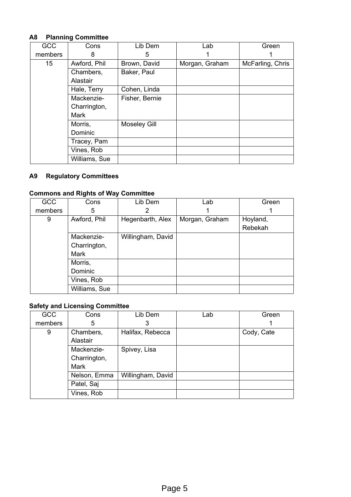## **A8 Planning Committee**

| <b>GCC</b>      | Cons          | Lib Dem             | Lab            | Green            |
|-----------------|---------------|---------------------|----------------|------------------|
| members         | 8             | 5                   |                |                  |
| 15 <sub>2</sub> | Awford, Phil  | Brown, David        | Morgan, Graham | McFarling, Chris |
|                 | Chambers,     | Baker, Paul         |                |                  |
|                 | Alastair      |                     |                |                  |
|                 | Hale, Terry   | Cohen, Linda        |                |                  |
|                 | Mackenzie-    | Fisher, Bernie      |                |                  |
|                 | Charrington,  |                     |                |                  |
|                 | Mark          |                     |                |                  |
|                 | Morris,       | <b>Moseley Gill</b> |                |                  |
|                 | Dominic       |                     |                |                  |
|                 | Tracey, Pam   |                     |                |                  |
|                 | Vines, Rob    |                     |                |                  |
|                 | Williams, Sue |                     |                |                  |

## **A9 Regulatory Committees**

## **Commons and Rights of Way Committee**

| <b>GCC</b> | Cons          | Lib Dem           | Lab            | Green    |
|------------|---------------|-------------------|----------------|----------|
| members    | 5             |                   |                |          |
| 9          | Awford, Phil  | Hegenbarth, Alex  | Morgan, Graham | Hoyland, |
|            |               |                   |                | Rebekah  |
|            | Mackenzie-    | Willingham, David |                |          |
|            | Charrington,  |                   |                |          |
|            | Mark          |                   |                |          |
|            | Morris,       |                   |                |          |
|            | Dominic       |                   |                |          |
|            | Vines, Rob    |                   |                |          |
|            | Williams, Sue |                   |                |          |

## **Safety and Licensing Committee**

| <b>GCC</b> | Cons         | Lib Dem           | Lab | Green      |
|------------|--------------|-------------------|-----|------------|
| members    | 5            | 3                 |     |            |
| 9          | Chambers,    | Halifax, Rebecca  |     | Cody, Cate |
|            | Alastair     |                   |     |            |
|            | Mackenzie-   | Spivey, Lisa      |     |            |
|            | Charrington, |                   |     |            |
|            | <b>Mark</b>  |                   |     |            |
|            | Nelson, Emma | Willingham, David |     |            |
|            | Patel, Saj   |                   |     |            |
|            | Vines, Rob   |                   |     |            |